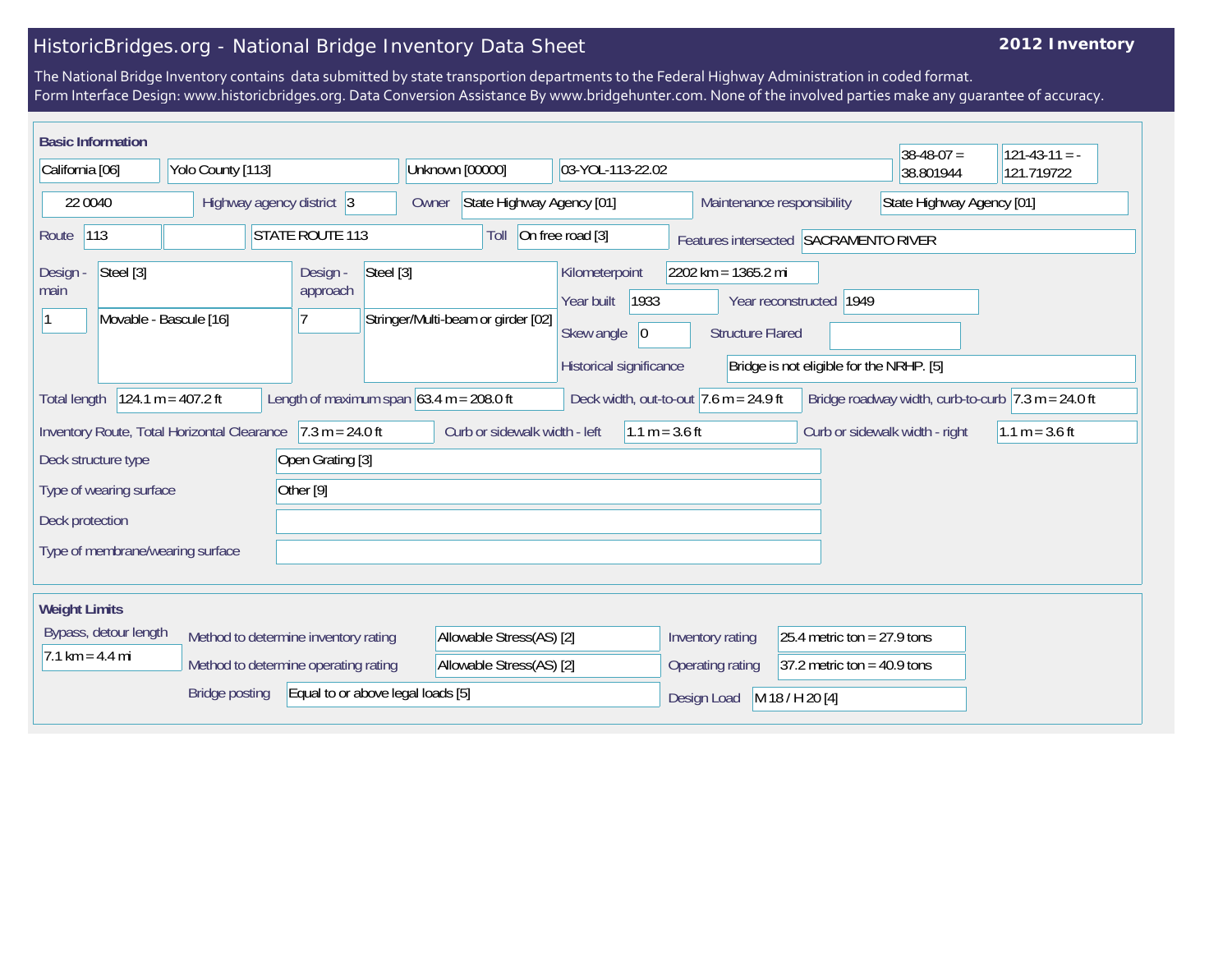## HistoricBridges.org - National Bridge Inventory Data Sheet

## **2012 Inventory**

The National Bridge Inventory contains data submitted by state transportion departments to the Federal Highway Administration in coded format. Form Interface Design: www.historicbridges.org. Data Conversion Assistance By www.bridgehunter.com. None of the involved parties make any guarantee of accuracy.

| <b>Basic Information</b>                                      |                        |                           |                                            |                                   |                                    |                                                                                              |                  |                                                         |                                                                     | $38-48-07 =$                   | $121 - 43 - 11 = -$                                                    |
|---------------------------------------------------------------|------------------------|---------------------------|--------------------------------------------|-----------------------------------|------------------------------------|----------------------------------------------------------------------------------------------|------------------|---------------------------------------------------------|---------------------------------------------------------------------|--------------------------------|------------------------------------------------------------------------|
| California [06]                                               |                        | Yolo County [113]         |                                            |                                   | Unknown [00000]                    | 03-YOL-113-22.02                                                                             |                  |                                                         | 38.801944                                                           | 121.719722                     |                                                                        |
| 22 0040                                                       |                        | Highway agency district 3 |                                            |                                   | State Highway Agency [01]<br>Owner |                                                                                              |                  | State Highway Agency [01]<br>Maintenance responsibility |                                                                     |                                |                                                                        |
| 113<br>Route                                                  |                        |                           | <b>STATE ROUTE 113</b>                     |                                   | Toll                               | On free road [3]                                                                             |                  |                                                         | Features intersected SACRAMENTO RIVER                               |                                |                                                                        |
| Steel [3]<br>Design -<br>main                                 | Movable - Bascule [16] |                           | Design -<br>approach                       | Steel [3]                         | Stringer/Multi-beam or girder [02] | Kilometerpoint<br>1933<br>Year built<br>Skew angle<br>$ 0\rangle$<br>Historical significance |                  | 2202 km = 1365.2 mi<br><b>Structure Flared</b>          | Year reconstructed 1949<br>Bridge is not eligible for the NRHP. [5] |                                |                                                                        |
| <b>Total length</b>                                           | $124.1 m = 407.2 ft$   |                           | Length of maximum span $63.4$ m = 208.0 ft |                                   |                                    |                                                                                              |                  | Deck width, out-to-out $7.6$ m = 24.9 ft                |                                                                     |                                | Bridge roadway width, curb-to-curb $ 7.3 \text{ m} = 24.0 \text{ ft} $ |
| Inventory Route, Total Horizontal Clearance                   |                        |                           | $7.3 m = 24.0 ft$                          |                                   | Curb or sidewalk width - left      |                                                                                              | 1.1 m = $3.6$ ft |                                                         |                                                                     | Curb or sidewalk width - right | $1.1 m = 3.6 ft$                                                       |
| Deck structure type                                           |                        |                           | Open Grating [3]                           |                                   |                                    |                                                                                              |                  |                                                         |                                                                     |                                |                                                                        |
| Type of wearing surface                                       |                        |                           | Other <sup>[9]</sup>                       |                                   |                                    |                                                                                              |                  |                                                         |                                                                     |                                |                                                                        |
| Deck protection                                               |                        |                           |                                            |                                   |                                    |                                                                                              |                  |                                                         |                                                                     |                                |                                                                        |
| Type of membrane/wearing surface                              |                        |                           |                                            |                                   |                                    |                                                                                              |                  |                                                         |                                                                     |                                |                                                                        |
| <b>Weight Limits</b>                                          |                        |                           |                                            |                                   |                                    |                                                                                              |                  |                                                         |                                                                     |                                |                                                                        |
| Bypass, detour length<br>Method to determine inventory rating |                        |                           |                                            | Allowable Stress(AS) [2]          |                                    |                                                                                              | Inventory rating | 25.4 metric ton = $27.9$ tons                           |                                                                     |                                |                                                                        |
| $7.1 \text{ km} = 4.4 \text{ mi}$                             |                        |                           | Method to determine operating rating       |                                   | Allowable Stress(AS) [2]           |                                                                                              |                  | Operating rating                                        | $ 37.2$ metric ton = 40.9 tons                                      |                                |                                                                        |
|                                                               |                        | <b>Bridge posting</b>     |                                            | Equal to or above legal loads [5] |                                    |                                                                                              |                  | Design Load                                             | M 18 / H 20 [4]                                                     |                                |                                                                        |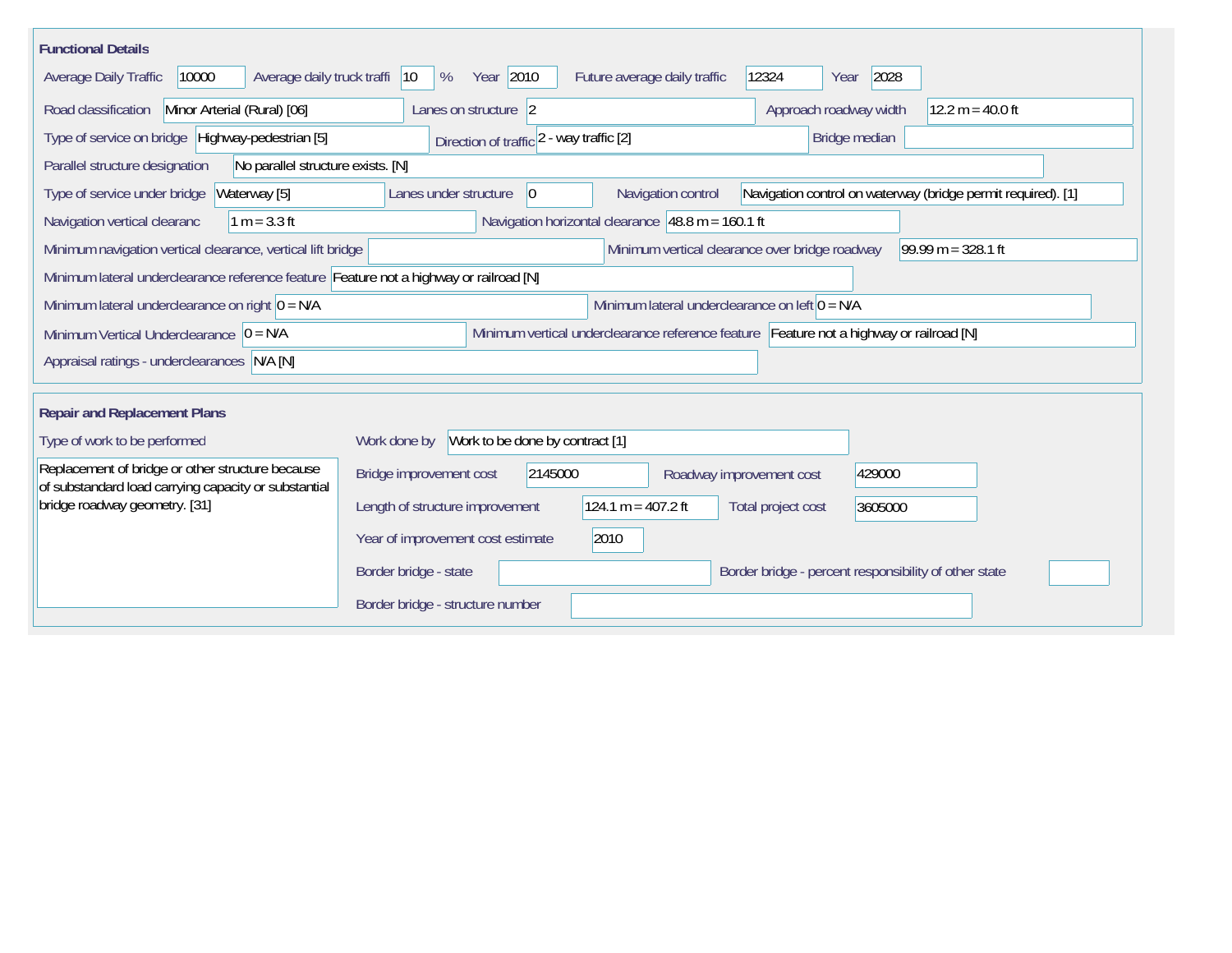| <b>Functional Details</b>                                                                                                             |                                                                                                                               |  |  |  |  |  |  |
|---------------------------------------------------------------------------------------------------------------------------------------|-------------------------------------------------------------------------------------------------------------------------------|--|--|--|--|--|--|
| Average daily truck traffi<br>10000<br>Average Daily Traffic                                                                          | Year 2010<br>12324<br>2028<br>$ 10\rangle$<br>Future average daily traffic<br>%<br>Year                                       |  |  |  |  |  |  |
| Road classification<br>Minor Arterial (Rural) [06]                                                                                    | 12.2 m = 40.0 ft<br>Approach roadway width<br>Lanes on structure 2                                                            |  |  |  |  |  |  |
| Type of service on bridge Highway-pedestrian [5]                                                                                      | Direction of traffic 2 - way traffic [2]<br>Bridge median                                                                     |  |  |  |  |  |  |
| Parallel structure designation<br>No parallel structure exists. [N]                                                                   |                                                                                                                               |  |  |  |  |  |  |
| Waterway [5]<br>Type of service under bridge                                                                                          | Navigation control on waterway (bridge permit required). [1]<br>Navigation control<br>Lanes under structure<br>$\overline{0}$ |  |  |  |  |  |  |
| Navigation vertical clearanc<br>$1 m = 3.3 ft$                                                                                        | Navigation horizontal clearance $ 48.8 \text{ m} = 160.1 \text{ ft}$                                                          |  |  |  |  |  |  |
| Minimum vertical clearance over bridge roadway<br>$99.99 m = 328.1 ft$<br>Minimum navigation vertical clearance, vertical lift bridge |                                                                                                                               |  |  |  |  |  |  |
| Minimum lateral underclearance reference feature Feature not a highway or railroad [N]                                                |                                                                                                                               |  |  |  |  |  |  |
| Minimum lateral underclearance on right $0 = N/A$                                                                                     | Minimum lateral underclearance on left $0 = N/A$                                                                              |  |  |  |  |  |  |
| Minimum vertical underclearance reference feature Feature not a highway or railroad [N]<br>Minimum Vertical Underclearance $ 0 = N/A$ |                                                                                                                               |  |  |  |  |  |  |
| Appraisal ratings - underclearances N/A [N]                                                                                           |                                                                                                                               |  |  |  |  |  |  |
|                                                                                                                                       |                                                                                                                               |  |  |  |  |  |  |
| <b>Repair and Replacement Plans</b>                                                                                                   |                                                                                                                               |  |  |  |  |  |  |
| Type of work to be performed                                                                                                          | Work to be done by contract [1]<br>Work done by                                                                               |  |  |  |  |  |  |
| Replacement of bridge or other structure because<br>of substandard load carrying capacity or substantial                              | 2145000<br>429000<br>Bridge improvement cost<br>Roadway improvement cost                                                      |  |  |  |  |  |  |
| bridge roadway geometry. [31]                                                                                                         | $124.1 m = 407.2 ft$<br>Length of structure improvement<br>Total project cost<br>3605000                                      |  |  |  |  |  |  |
|                                                                                                                                       | Year of improvement cost estimate<br>2010                                                                                     |  |  |  |  |  |  |
|                                                                                                                                       | Border bridge - state<br>Border bridge - percent responsibility of other state                                                |  |  |  |  |  |  |
|                                                                                                                                       | Border bridge - structure number                                                                                              |  |  |  |  |  |  |